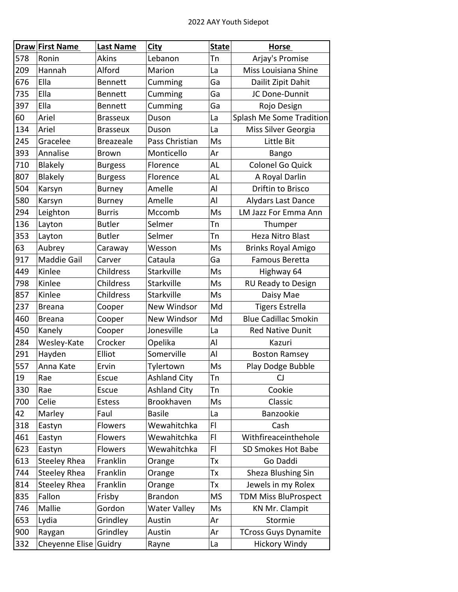|     | <b>Draw First Name</b> | <b>Last Name</b> | City                | <b>State</b> | <b>Horse</b>                |
|-----|------------------------|------------------|---------------------|--------------|-----------------------------|
| 578 | Ronin                  | Akins            | Lebanon             | Tn           | Arjay's Promise             |
| 209 | Hannah                 | Alford           | Marion              | La           | Miss Louisiana Shine        |
| 676 | Ella                   | <b>Bennett</b>   | Cumming             | Ga           | Dailit Zipit Dahit          |
| 735 | Ella                   | <b>Bennett</b>   | Cumming             | Ga           | JC Done-Dunnit              |
| 397 | Ella                   | <b>Bennett</b>   | Cumming             | Ga           | Rojo Design                 |
| 60  | Ariel                  | <b>Brasseux</b>  | Duson               | La           | Splash Me Some Tradition    |
| 134 | Ariel                  | <b>Brasseux</b>  | Duson               | La           | Miss Silver Georgia         |
| 245 | Gracelee               | <b>Breazeale</b> | Pass Christian      | Ms           | Little Bit                  |
| 393 | Annalise               | <b>Brown</b>     | Monticello          | Ar           | Bango                       |
| 710 | <b>Blakely</b>         | <b>Burgess</b>   | Florence            | AL           | Colonel Go Quick            |
| 807 | Blakely                | <b>Burgess</b>   | Florence            | AL           | A Royal Darlin              |
| 504 | Karsyn                 | <b>Burney</b>    | Amelle              | Al           | Driftin to Brisco           |
| 580 | Karsyn                 | <b>Burney</b>    | Amelle              | Al           | Alydars Last Dance          |
| 294 | Leighton               | <b>Burris</b>    | Mccomb              | Ms           | LM Jazz For Emma Ann        |
| 136 | Layton                 | <b>Butler</b>    | Selmer              | Tn           | Thumper                     |
| 353 | Layton                 | <b>Butler</b>    | Selmer              | Tn           | Heza Nitro Blast            |
| 63  | Aubrey                 | Caraway          | Wesson              | Ms           | <b>Brinks Royal Amigo</b>   |
| 917 | <b>Maddie Gail</b>     | Carver           | Cataula             | Ga           | Famous Beretta              |
| 449 | Kinlee                 | Childress        | Starkville          | Ms           | Highway 64                  |
| 798 | Kinlee                 | Childress        | Starkville          | Ms           | RU Ready to Design          |
| 857 | Kinlee                 | Childress        | Starkville          | Ms           | Daisy Mae                   |
| 237 | <b>Breana</b>          | Cooper           | New Windsor         | Md           | <b>Tigers Estrella</b>      |
| 460 | <b>Breana</b>          | Cooper           | New Windsor         | Md           | <b>Blue Cadillac Smokin</b> |
| 450 | Kanely                 | Cooper           | Jonesville          | La           | <b>Red Native Dunit</b>     |
| 284 | Wesley-Kate            | Crocker          | Opelika             | Al           | Kazuri                      |
| 291 | Hayden                 | Elliot           | Somerville          | Al           | <b>Boston Ramsey</b>        |
| 557 | Anna Kate              | Ervin            | Tylertown           | Ms           | Play Dodge Bubble           |
| 19  | Rae                    | Escue            | <b>Ashland City</b> | Tn           | CJ                          |
| 330 | Rae                    | Escue            | <b>Ashland City</b> | Tn           | Cookie                      |
| 700 | Celie                  | Estess           | Brookhaven          | Ms           | Classic                     |
| 42  | Marley                 | Faul             | <b>Basile</b>       | La           | Banzookie                   |
| 318 | Eastyn                 | Flowers          | Wewahitchka         | FI           | Cash                        |
| 461 | Eastyn                 | <b>Flowers</b>   | Wewahitchka         | FI           | Withfireaceinthehole        |
| 623 | Eastyn                 | Flowers          | Wewahitchka         | FI           | SD Smokes Hot Babe          |
| 613 | Steeley Rhea           | Franklin         | Orange              | Тx           | Go Daddi                    |
| 744 | <b>Steeley Rhea</b>    | Franklin         | Orange              | Тx           | Sheza Blushing Sin          |
| 814 | <b>Steeley Rhea</b>    | Franklin         | Orange              | Tx           | Jewels in my Rolex          |
| 835 | Fallon                 | Frisby           | <b>Brandon</b>      | <b>MS</b>    | <b>TDM Miss BluProspect</b> |
| 746 | Mallie                 | Gordon           | <b>Water Valley</b> | Ms           | <b>KN Mr. Clampit</b>       |
| 653 | Lydia                  | Grindley         | Austin              | Ar           | Stormie                     |
| 900 | Raygan                 | Grindley         | Austin              | Ar           | <b>TCross Guys Dynamite</b> |
| 332 | Cheyenne Elise         | Guidry           | Rayne               | La           | <b>Hickory Windy</b>        |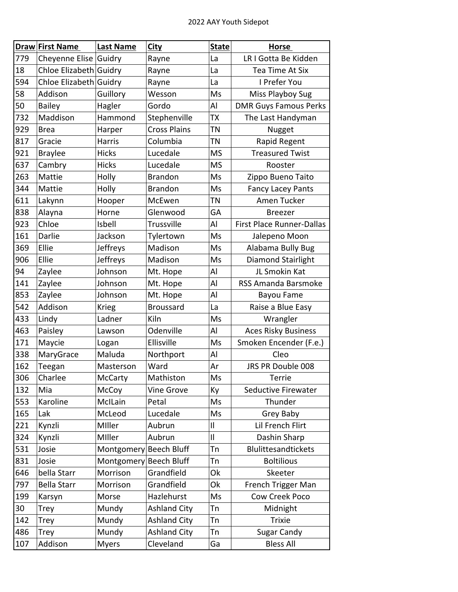|     | Draw First Name        | <b>Last Name</b>       | <b>City</b>         | <b>State</b> | <b>Horse</b>                 |
|-----|------------------------|------------------------|---------------------|--------------|------------------------------|
| 779 | Cheyenne Elise         | Guidry                 | Rayne               | La           | LR I Gotta Be Kidden         |
| 18  | Chloe Elizabeth Guidry |                        | Rayne               | La           | Tea Time At Six              |
| 594 | Chloe Elizabeth Guidry |                        | Rayne               | La           | I Prefer You                 |
| 58  | Addison                | Guillory               | Wesson              | Ms           | Miss Playboy Sug             |
| 50  | <b>Bailey</b>          | Hagler                 | Gordo               | Al           | <b>DMR Guys Famous Perks</b> |
| 732 | Maddison               | Hammond                | Stephenville        | TX           | The Last Handyman            |
| 929 | <b>Brea</b>            | Harper                 | <b>Cross Plains</b> | ΤN           | Nugget                       |
| 817 | Gracie                 | Harris                 | Columbia            | TN           | Rapid Regent                 |
| 921 | <b>Braylee</b>         | <b>Hicks</b>           | Lucedale            | <b>MS</b>    | <b>Treasured Twist</b>       |
| 637 | Cambry                 | <b>Hicks</b>           | Lucedale            | <b>MS</b>    | Rooster                      |
| 263 | Mattie                 | Holly                  | <b>Brandon</b>      | Ms           | Zippo Bueno Taito            |
| 344 | Mattie                 | Holly                  | <b>Brandon</b>      | Ms           | <b>Fancy Lacey Pants</b>     |
| 611 | Lakynn                 | Hooper                 | McEwen              | <b>TN</b>    | Amen Tucker                  |
| 838 | Alayna                 | Horne                  | Glenwood            | GA           | <b>Breezer</b>               |
| 923 | Chloe                  | Isbell                 | Trussville          | Al           | First Place Runner-Dallas    |
| 161 | Darlie                 | Jackson                | Tylertown           | Ms           | Jalepeno Moon                |
| 369 | Ellie                  | Jeffreys               | Madison             | Ms           | Alabama Bully Bug            |
| 906 | Ellie                  | Jeffreys               | Madison             | Ms           | Diamond Stairlight           |
| 94  | Zaylee                 | Johnson                | Mt. Hope            | Al           | JL Smokin Kat                |
| 141 | Zaylee                 | Johnson                | Mt. Hope            | Al           | <b>RSS Amanda Barsmoke</b>   |
| 853 | Zaylee                 | Johnson                | Mt. Hope            | Al           | Bayou Fame                   |
| 542 | Addison                | <b>Krieg</b>           | <b>Broussard</b>    | La           | Raise a Blue Easy            |
| 433 | Lindy                  | Ladner                 | Kiln                | Ms           | Wrangler                     |
| 463 | Paisley                | Lawson                 | Odenville           | Al           | <b>Aces Risky Business</b>   |
| 171 | Maycie                 | Logan                  | Ellisville          | Ms           | Smoken Encender (F.e.)       |
| 338 | MaryGrace              | Maluda                 | Northport           | Al           | Cleo                         |
| 162 | Teegan                 | Masterson              | Ward                | Ar           | JRS PR Double 008            |
| 306 | Charlee                | McCarty                | Mathiston           | Ms.          | Terrie                       |
| 132 | Mia                    | McCoy                  | <b>Vine Grove</b>   | Кy           | Seductive Firewater          |
| 553 | Karoline               | McILain                | Petal               | Ms           | Thunder                      |
| 165 | Lak                    | McLeod                 | Lucedale            | Ms           | Grey Baby                    |
| 221 | Kynzli                 | Miller                 | Aubrun              | $\mathsf{I}$ | Lil French Flirt             |
| 324 | Kynzli                 | Miller                 | Aubrun              | $\mathsf{I}$ | Dashin Sharp                 |
| 531 | Josie                  | Montgomery             | <b>Beech Bluff</b>  | Tn           | <b>Blulittesandtickets</b>   |
| 831 | Josie                  | Montgomery Beech Bluff |                     | Tn           | <b>Boltilious</b>            |
| 646 | bella Starr            | Morrison               | Grandfield          | Ok           | Skeeter                      |
| 797 | <b>Bella Starr</b>     | Morrison               | Grandfield          | Ok           | French Trigger Man           |
| 199 | Karsyn                 | Morse                  | Hazlehurst          | Ms           | Cow Creek Poco               |
| 30  | Trey                   | Mundy                  | <b>Ashland City</b> | Tn           | Midnight                     |
| 142 | <b>Trey</b>            | Mundy                  | <b>Ashland City</b> | Tn           | <b>Trixie</b>                |
| 486 | <b>Trey</b>            | Mundy                  | <b>Ashland City</b> | Tn           | Sugar Candy                  |
| 107 | Addison                | <b>Myers</b>           | Cleveland           | Ga           | <b>Bless All</b>             |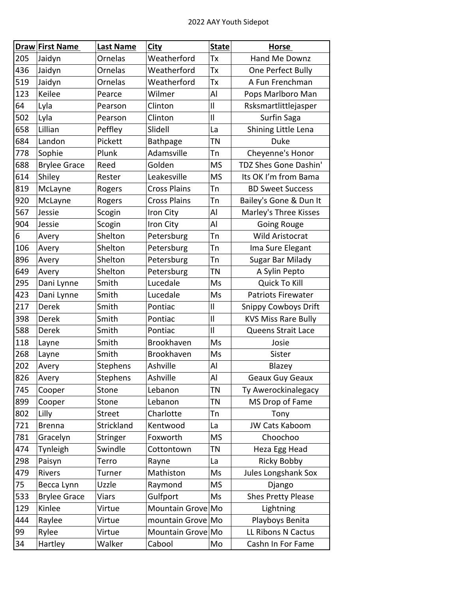|     | <b>Draw First Name</b> | <b>Last Name</b> | City                | <b>State</b> | <b>Horse</b>                |
|-----|------------------------|------------------|---------------------|--------------|-----------------------------|
| 205 | Jaidyn                 | Ornelas          | Weatherford         | Tx           | Hand Me Downz               |
| 436 | Jaidyn                 | Ornelas          | Weatherford         | Tx           | One Perfect Bully           |
| 519 | Jaidyn                 | Ornelas          | Weatherford         | Tх           | A Fun Frenchman             |
| 123 | Keilee                 | Pearce           | Wilmer              | Al           | Pops Marlboro Man           |
| 64  | Lyla                   | Pearson          | Clinton             | $\mathbf{I}$ | Rsksmartlittlejasper        |
| 502 | Lyla                   | Pearson          | Clinton             | $\mathbf{I}$ | Surfin Saga                 |
| 658 | Lillian                | Peffley          | Slidell             | La           | Shining Little Lena         |
| 684 | Landon                 | Pickett          | Bathpage            | TN           | <b>Duke</b>                 |
| 778 | Sophie                 | Plunk            | Adamsville          | Tn           | Cheyenne's Honor            |
| 688 | <b>Brylee Grace</b>    | Reed             | Golden              | <b>MS</b>    | TDZ Shes Gone Dashin'       |
| 614 | Shiley                 | Rester           | Leakesville         | <b>MS</b>    | Its OK I'm from Bama        |
| 819 | McLayne                | Rogers           | <b>Cross Plains</b> | Tn           | <b>BD Sweet Success</b>     |
| 920 | McLayne                | Rogers           | <b>Cross Plains</b> | Tn           | Bailey's Gone & Dun It      |
| 567 | Jessie                 | Scogin           | Iron City           | Al           | Marley's Three Kisses       |
| 904 | Jessie                 | Scogin           | Iron City           | Al           | Going Rouge                 |
| 6   | Avery                  | Shelton          | Petersburg          | Tn           | Wild Aristocrat             |
| 106 | Avery                  | Shelton          | Petersburg          | Tn           | Ima Sure Elegant            |
| 896 | Avery                  | Shelton          | Petersburg          | Tn           | Sugar Bar Milady            |
| 649 | Avery                  | Shelton          | Petersburg          | TN           | A Sylin Pepto               |
| 295 | Dani Lynne             | Smith            | Lucedale            | Ms           | Quick To Kill               |
| 423 | Dani Lynne             | Smith            | Lucedale            | Ms           | Patriots Firewater          |
| 217 | Derek                  | Smith            | Pontiac             | $\mathbf{I}$ | <b>Snippy Cowboys Drift</b> |
| 398 | Derek                  | Smith            | Pontiac             | $\mathbf{I}$ | <b>KVS Miss Rare Bully</b>  |
| 588 | Derek                  | Smith            | Pontiac             | $\mathbf{I}$ | Queens Strait Lace          |
| 118 | Layne                  | Smith            | Brookhaven          | Ms           | Josie                       |
| 268 | Layne                  | Smith            | Brookhaven          | Ms           | Sister                      |
| 202 | Avery                  | Stephens         | Ashville            | Al           | Blazey                      |
| 826 | Avery                  | Stephens         | Ashville            | Al           | Geaux Guy Geaux             |
| 745 | Cooper                 | Stone            | Lebanon             | ΤN           | Ty Awerockinalegacy         |
| 899 | Cooper                 | Stone            | Lebanon             | ΤN           | MS Drop of Fame             |
| 802 | Lilly                  | <b>Street</b>    | Charlotte           | Тn           | Tony                        |
| 721 | <b>Brenna</b>          | Strickland       | Kentwood            | La           | JW Cats Kaboom              |
| 781 | Gracelyn               | Stringer         | Foxworth            | <b>MS</b>    | Choochoo                    |
| 474 | Tynleigh               | Swindle          | Cottontown          | ΤN           | Heza Egg Head               |
| 298 | Paisyn                 | Terro            | Rayne               | La           | <b>Ricky Bobby</b>          |
| 479 | Rivers                 | Turner           | Mathiston           | Ms           | Jules Longshank Sox         |
| 75  | Becca Lynn             | Uzzle            | Raymond             | <b>MS</b>    | Django                      |
| 533 | <b>Brylee Grace</b>    | <b>Viars</b>     | Gulfport            | Ms           | Shes Pretty Please          |
| 129 | Kinlee                 | Virtue           | Mountain Grove Mo   |              | Lightning                   |
| 444 | Raylee                 | Virtue           | mountain Grove Mo   |              | Playboys Benita             |
| 99  | Rylee                  | Virtue           | Mountain Grove Mo   |              | LL Ribons N Cactus          |
| 34  | Hartley                | Walker           | Cabool              | Mo           | Cashn In For Fame           |